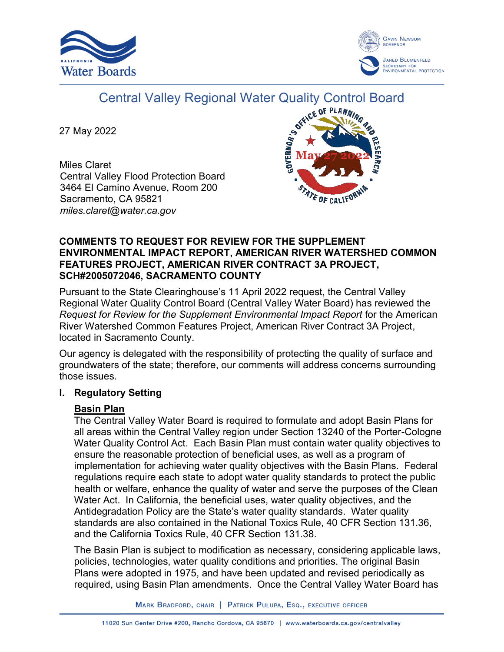



# Central Valley Regional Water Quality Control Board<br>20022

27 May 2022

Miles Claret Central Valley Flood Protection Board 3464 El Camino Avenue, Room 200 Sacramento, CA 95821 *miles.claret@water.ca.gov*



#### **COMMENTS TO REQUEST FOR REVIEW FOR THE SUPPLEMENT ENVIRONMENTAL IMPACT REPORT, AMERICAN RIVER WATERSHED COMMON FEATURES PROJECT, AMERICAN RIVER CONTRACT 3A PROJECT, SCH#2005072046, SACRAMENTO COUNTY**

Pursuant to the State Clearinghouse's 11 April 2022 request, the Central Valley Regional Water Quality Control Board (Central Valley Water Board) has reviewed the *Request for Review for the Supplement Environmental Impact Report* for the American River Watershed Common Features Project, American River Contract 3A Project, located in Sacramento County.

Our agency is delegated with the responsibility of protecting the quality of surface and groundwaters of the state; therefore, our comments will address concerns surrounding those issues.

## **I. Regulatory Setting**

## **Basin Plan**

The Central Valley Water Board is required to formulate and adopt Basin Plans for all areas within the Central Valley region under Section 13240 of the Porter-Cologne Water Quality Control Act. Each Basin Plan must contain water quality objectives to ensure the reasonable protection of beneficial uses, as well as a program of implementation for achieving water quality objectives with the Basin Plans. Federal regulations require each state to adopt water quality standards to protect the public health or welfare, enhance the quality of water and serve the purposes of the Clean Water Act. In California, the beneficial uses, water quality objectives, and the Antidegradation Policy are the State's water quality standards. Water quality standards are also contained in the National Toxics Rule, 40 CFR Section 131.36, and the California Toxics Rule, 40 CFR Section 131.38.

The Basin Plan is subject to modification as necessary, considering applicable laws, policies, technologies, water quality conditions and priorities. The original Basin Plans were adopted in 1975, and have been updated and revised periodically as required, using Basin Plan amendments. Once the Central Valley Water Board has

MARK BRADFORD, CHAIR | PATRICK PULUPA, ESQ., EXECUTIVE OFFICER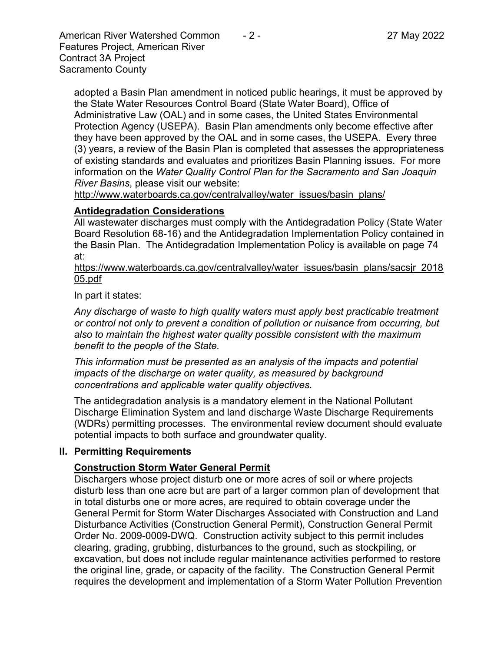American River Watershed Common  $-2$  - 2. 27 May 2022 Features Project, American River Contract 3A Project Sacramento County

adopted a Basin Plan amendment in noticed public hearings, it must be approved by the State Water Resources Control Board (State Water Board), Office of Administrative Law (OAL) and in some cases, the United States Environmental Protection Agency (USEPA). Basin Plan amendments only become effective after they have been approved by the OAL and in some cases, the USEPA. Every three (3) years, a review of the Basin Plan is completed that assesses the appropriateness of existing standards and evaluates and prioritizes Basin Planning issues. For more information on the *Water Quality Control Plan for the Sacramento and San Joaquin River Basins*, please visit our website:

[http://www.waterboards.ca.gov/centralvalley/water\\_issues/basin\\_plans/](http://www.waterboards.ca.gov/centralvalley/water_issues/basin_plans/)

#### **Antidegradation Considerations**

All wastewater discharges must comply with the Antidegradation Policy (State Water Board Resolution 68-16) and the Antidegradation Implementation Policy contained in the Basin Plan. The Antidegradation Implementation Policy is available on page 74 at:

https://www.waterboards.ca.gov/centralvalley/water\_issues/basin\_plans/sacsjr\_2018 05.pdf

In part it states:

*Any discharge of waste to high quality waters must apply best practicable treatment or control not only to prevent a condition of pollution or nuisance from occurring, but also to maintain the highest water quality possible consistent with the maximum benefit to the people of the State.*

*This information must be presented as an analysis of the impacts and potential impacts of the discharge on water quality, as measured by background concentrations and applicable water quality objectives.*

The antidegradation analysis is a mandatory element in the National Pollutant Discharge Elimination System and land discharge Waste Discharge Requirements (WDRs) permitting processes. The environmental review document should evaluate potential impacts to both surface and groundwater quality.

#### **II. Permitting Requirements**

## **Construction Storm Water General Permit**

Dischargers whose project disturb one or more acres of soil or where projects disturb less than one acre but are part of a larger common plan of development that in total disturbs one or more acres, are required to obtain coverage under the General Permit for Storm Water Discharges Associated with Construction and Land Disturbance Activities (Construction General Permit), Construction General Permit Order No. 2009-0009-DWQ. Construction activity subject to this permit includes clearing, grading, grubbing, disturbances to the ground, such as stockpiling, or excavation, but does not include regular maintenance activities performed to restore the original line, grade, or capacity of the facility. The Construction General Permit requires the development and implementation of a Storm Water Pollution Prevention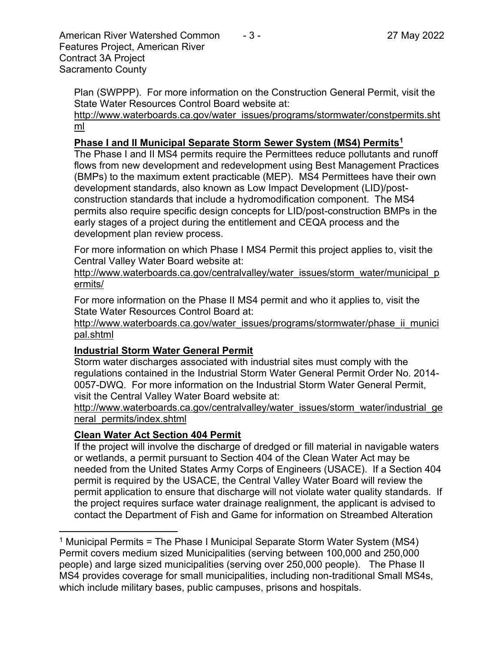American River Watershed Common  $-3$  - 27 May 2022 Features Project, American River Contract 3A Project Sacramento County

Plan (SWPPP). For more information on the Construction General Permit, visit the State Water Resources Control Board website at:

[http://www.waterboards.ca.gov/water\\_issues/programs/stormwater/constpermits.sht](http://www.waterboards.ca.gov/water_issues/programs/stormwater/constpermits.shtml) [ml](http://www.waterboards.ca.gov/water_issues/programs/stormwater/constpermits.shtml)

## **Phase I and II Municipal Separate Storm Sewer System (MS4) Permits<sup>1</sup>**

The Phase I and II MS4 permits require the Permittees reduce pollutants and runoff flows from new development and redevelopment using Best Management Practices (BMPs) to the maximum extent practicable (MEP). MS4 Permittees have their own development standards, also known as Low Impact Development (LID)/postconstruction standards that include a hydromodification component. The MS4 permits also require specific design concepts for LID/post-construction BMPs in the early stages of a project during the entitlement and CEQA process and the development plan review process.

For more information on which Phase I MS4 Permit this project applies to, visit the Central Valley Water Board website at:

http://www.waterboards.ca.gov/centralvalley/water\_issues/storm\_water/municipal\_p ermits/

For more information on the Phase II MS4 permit and who it applies to, visit the State Water Resources Control Board at:

http://www.waterboards.ca.gov/water\_issues/programs/stormwater/phase\_ii\_munici pal.shtml

## **Industrial Storm Water General Permit**

Storm water discharges associated with industrial sites must comply with the regulations contained in the Industrial Storm Water General Permit Order No. 2014- 0057-DWQ. For more information on the Industrial Storm Water General Permit, visit the Central Valley Water Board website at:

http://www.waterboards.ca.gov/centralvalley/water\_issues/storm\_water/industrial\_ge neral\_permits/index.shtml

## **Clean Water Act Section 404 Permit**

If the project will involve the discharge of dredged or fill material in navigable waters or wetlands, a permit pursuant to Section 404 of the Clean Water Act may be needed from the United States Army Corps of Engineers (USACE). If a Section 404 permit is required by the USACE, the Central Valley Water Board will review the permit application to ensure that discharge will not violate water quality standards. If the project requires surface water drainage realignment, the applicant is advised to contact the Department of Fish and Game for information on Streambed Alteration

<sup>1</sup> Municipal Permits = The Phase I Municipal Separate Storm Water System (MS4) Permit covers medium sized Municipalities (serving between 100,000 and 250,000 people) and large sized municipalities (serving over 250,000 people). The Phase II MS4 provides coverage for small municipalities, including non-traditional Small MS4s, which include military bases, public campuses, prisons and hospitals.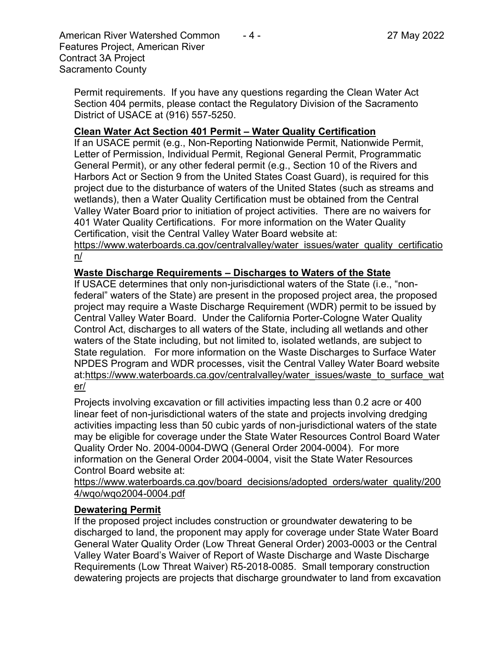American River Watershed Common  $-4$  - 27 May 2022 Features Project, American River Contract 3A Project Sacramento County

Permit requirements. If you have any questions regarding the Clean Water Act Section 404 permits, please contact the Regulatory Division of the Sacramento District of USACE at (916) 557-5250.

#### **Clean Water Act Section 401 Permit – Water Quality Certification**

If an USACE permit (e.g., Non-Reporting Nationwide Permit, Nationwide Permit, Letter of Permission, Individual Permit, Regional General Permit, Programmatic General Permit), or any other federal permit (e.g., Section 10 of the Rivers and Harbors Act or Section 9 from the United States Coast Guard), is required for this project due to the disturbance of waters of the United States (such as streams and wetlands), then a Water Quality Certification must be obtained from the Central Valley Water Board prior to initiation of project activities. There are no waivers for 401 Water Quality Certifications. For more information on the Water Quality Certification, visit the Central Valley Water Board website at:

https://www.waterboards.ca.gov/centralvalley/water\_issues/water\_quality\_certificatio n/

#### **Waste Discharge Requirements – Discharges to Waters of the State**

If USACE determines that only non-jurisdictional waters of the State (i.e., "nonfederal" waters of the State) are present in the proposed project area, the proposed project may require a Waste Discharge Requirement (WDR) permit to be issued by Central Valley Water Board. Under the California Porter-Cologne Water Quality Control Act, discharges to all waters of the State, including all wetlands and other waters of the State including, but not limited to, isolated wetlands, are subject to State regulation. For more information on the Waste Discharges to Surface Water NPDES Program and WDR processes, visit the Central Valley Water Board website at:https://www.waterboards.ca.gov/centralvalley/water\_issues/waste\_to\_surface\_wat er/

Projects involving excavation or fill activities impacting less than 0.2 acre or 400 linear feet of non-jurisdictional waters of the state and projects involving dredging activities impacting less than 50 cubic yards of non-jurisdictional waters of the state may be eligible for coverage under the State Water Resources Control Board Water Quality Order No. 2004-0004-DWQ (General Order 2004-0004). For more information on the General Order 2004-0004, visit the State Water Resources Control Board website at:

https://www.waterboards.ca.gov/board\_decisions/adopted\_orders/water\_quality/200 4/wqo/wqo2004-0004.pdf

#### **Dewatering Permit**

If the proposed project includes construction or groundwater dewatering to be discharged to land, the proponent may apply for coverage under State Water Board General Water Quality Order (Low Threat General Order) 2003-0003 or the Central Valley Water Board's Waiver of Report of Waste Discharge and Waste Discharge Requirements (Low Threat Waiver) R5-2018-0085. Small temporary construction dewatering projects are projects that discharge groundwater to land from excavation